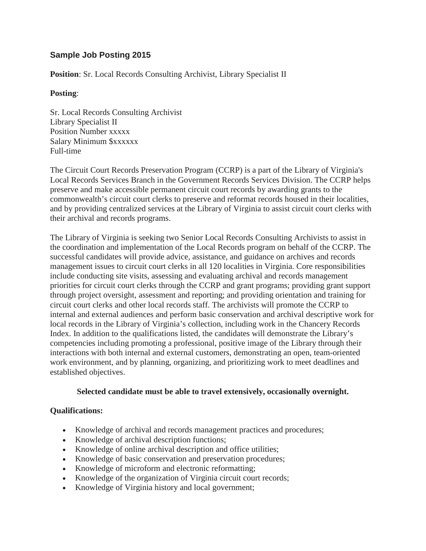# **Sample Job Posting 2015**

**Position**: Sr. Local Records Consulting Archivist, Library Specialist II

#### **Posting**:

Sr. Local Records Consulting Archivist Library Specialist II Position Number xxxxx Salary Minimum \$xxxxxx Full-time

The Circuit Court Records Preservation Program (CCRP) is a part of the Library of Virginia's Local Records Services Branch in the Government Records Services Division. The CCRP helps preserve and make accessible permanent circuit court records by awarding grants to the commonwealth's circuit court clerks to preserve and reformat records housed in their localities, and by providing centralized services at the Library of Virginia to assist circuit court clerks with their archival and records programs.

The Library of Virginia is seeking two Senior Local Records Consulting Archivists to assist in the coordination and implementation of the Local Records program on behalf of the CCRP. The successful candidates will provide advice, assistance, and guidance on archives and records management issues to circuit court clerks in all 120 localities in Virginia. Core responsibilities include conducting site visits, assessing and evaluating archival and records management priorities for circuit court clerks through the CCRP and grant programs; providing grant support through project oversight, assessment and reporting; and providing orientation and training for circuit court clerks and other local records staff. The archivists will promote the CCRP to internal and external audiences and perform basic conservation and archival descriptive work for local records in the Library of Virginia's collection, including work in the Chancery Records Index. In addition to the qualifications listed, the candidates will demonstrate the Library's competencies including promoting a professional, positive image of the Library through their interactions with both internal and external customers, demonstrating an open, team-oriented work environment, and by planning, organizing, and prioritizing work to meet deadlines and established objectives.

#### **Selected candidate must be able to travel extensively, occasionally overnight.**

## **Qualifications:**

- Knowledge of archival and records management practices and procedures;
- Knowledge of archival description functions;
- Knowledge of online archival description and office utilities;
- Knowledge of basic conservation and preservation procedures;
- Knowledge of microform and electronic reformatting;
- Knowledge of the organization of Virginia circuit court records;
- Knowledge of Virginia history and local government;